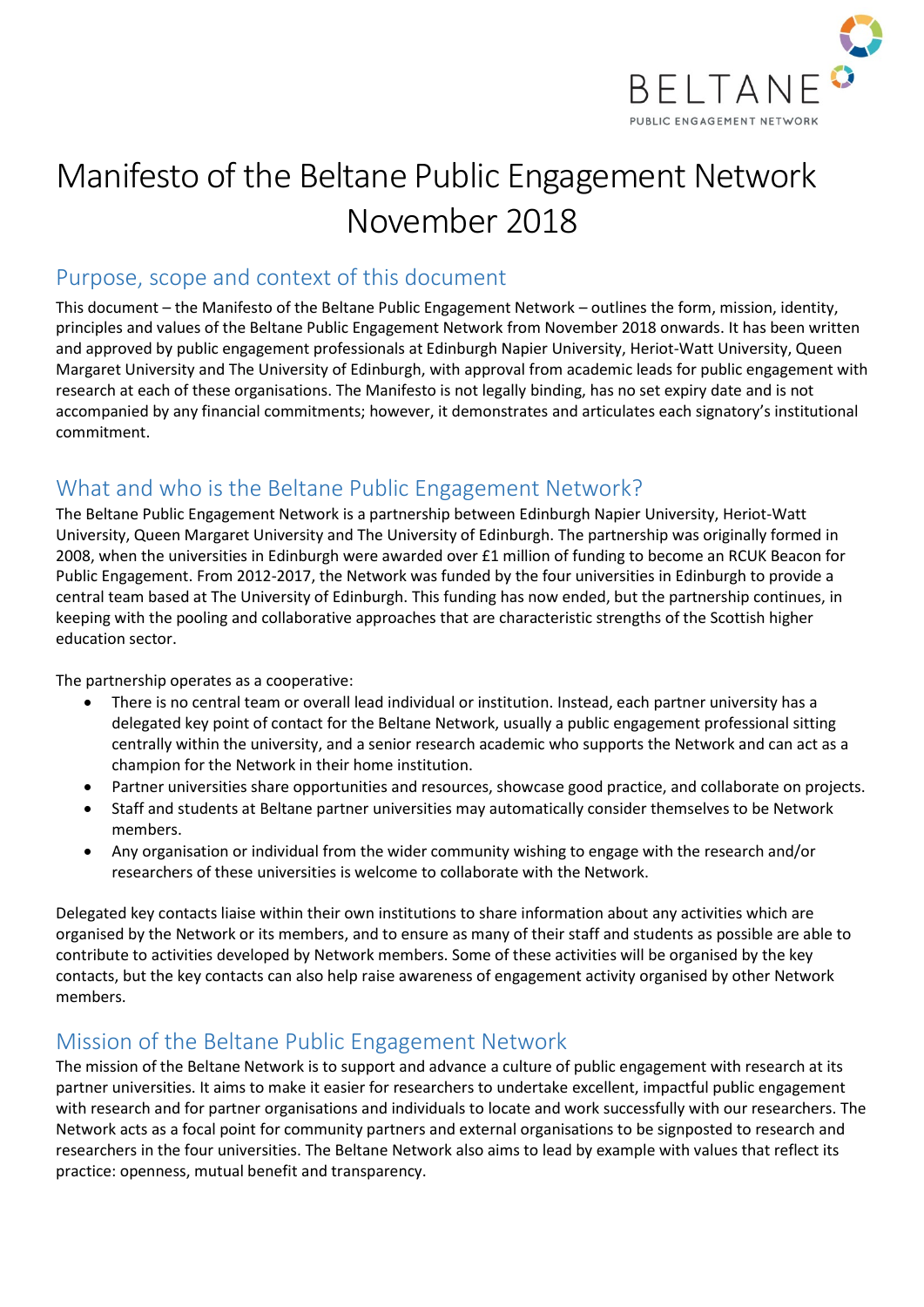

# Manifesto of the Beltane Public Engagement Network November 2018

#### Purpose, scope and context of this document

This document – the Manifesto of the Beltane Public Engagement Network – outlines the form, mission, identity, principles and values of the Beltane Public Engagement Network from November 2018 onwards. It has been written and approved by public engagement professionals at Edinburgh Napier University, Heriot-Watt University, Queen Margaret University and The University of Edinburgh, with approval from academic leads for public engagement with research at each of these organisations. The Manifesto is not legally binding, has no set expiry date and is not accompanied by any financial commitments; however, it demonstrates and articulates each signatory's institutional commitment.

### What and who is the Beltane Public Engagement Network?

The Beltane Public Engagement Network is a partnership between Edinburgh Napier University, Heriot-Watt University, Queen Margaret University and The University of Edinburgh. The partnership was originally formed in 2008, when the universities in Edinburgh were awarded over £1 million of funding to become an RCUK Beacon for Public Engagement. From 2012-2017, the Network was funded by the four universities in Edinburgh to provide a central team based at The University of Edinburgh. This funding has now ended, but the partnership continues, in keeping with the pooling and collaborative approaches that are characteristic strengths of the Scottish higher education sector.

The partnership operates as a cooperative:

- There is no central team or overall lead individual or institution. Instead, each partner university has a delegated key point of contact for the Beltane Network, usually a public engagement professional sitting centrally within the university, and a senior research academic who supports the Network and can act as a champion for the Network in their home institution.
- Partner universities share opportunities and resources, showcase good practice, and collaborate on projects.
- Staff and students at Beltane partner universities may automatically consider themselves to be Network members.
- Any organisation or individual from the wider community wishing to engage with the research and/or researchers of these universities is welcome to collaborate with the Network.

Delegated key contacts liaise within their own institutions to share information about any activities which are organised by the Network or its members, and to ensure as many of their staff and students as possible are able to contribute to activities developed by Network members. Some of these activities will be organised by the key contacts, but the key contacts can also help raise awareness of engagement activity organised by other Network members.

### Mission of the Beltane Public Engagement Network

The mission of the Beltane Network is to support and advance a culture of public engagement with research at its partner universities. It aims to make it easier for researchers to undertake excellent, impactful public engagement with research and for partner organisations and individuals to locate and work successfully with our researchers. The Network acts as a focal point for community partners and external organisations to be signposted to research and researchers in the four universities. The Beltane Network also aims to lead by example with values that reflect its practice: openness, mutual benefit and transparency.